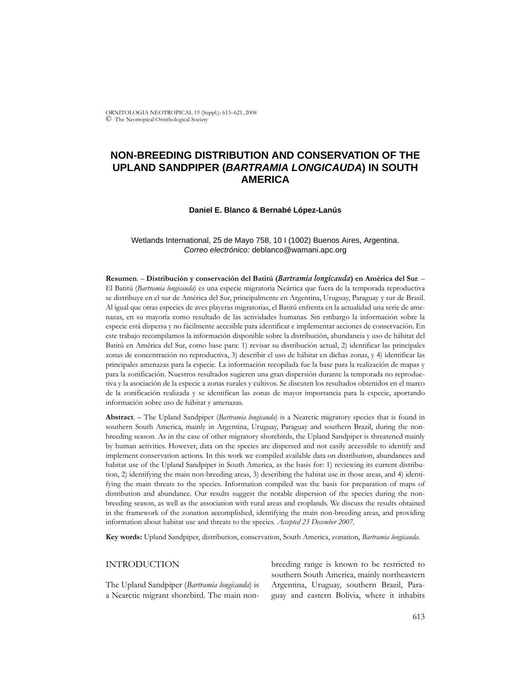ORNITOLOGIA NEOTROPICAL 19 (Suppl.): 613–621, 2008 © The Neotropical Ornithological Society

# **NON-BREEDING DISTRIBUTION AND CONSERVATION OF THE UPLAND SANDPIPER (***BARTRAMIA LONGICAUDA***) IN SOUTH AMERICA**

# **Daniel E. Blanco & Bernabé López-Lanús**

# Wetlands International, 25 de Mayo 758, 10 I (1002) Buenos Aires, Argentina. *Correo electrónico:* deblanco@wamani.apc.org

**Resumen**. – **Distribución y conservación del Batitú (***Bartramia longicauda***) en América del Sur**. – El Batitú (*Bartramia longicauda*) es una especie migratoria Neártica que fuera de la temporada reproductiva se distribuye en el sur de América del Sur, principalmente en Argentina, Uruguay, Paraguay y sur de Brasil. Al igual que otras especies de aves playeras migratorias, el Batitú enfrenta en la actualidad una serie de amenazas, en su mayoría como resultado de las actividades humanas. Sin embargo la información sobre la especie está dispersa y no fácilmente accesible para identificar e implementar acciones de conservación. En este trabajo recompilamos la información disponible sobre la distribución, abundancia y uso de hábitat del Batitú en América del Sur, como base para: 1) revisar su distribución actual, 2) identificar las principales zonas de concentración no reproductiva, 3) describir el uso de hábitat en dichas zonas, y 4) identificar las principales amenazas para la especie. La información recopilada fue la base para la realización de mapas y para la zonificación. Nuestros resultados sugieren una gran dispersión durante la temporada no reproductiva y la asociación de la especie a zonas rurales y cultivos. Se discuten los resultados obtenidos en el marco de la zonificación realizada y se identifican las zonas de mayor importancia para la especie, aportando información sobre uso de hábitat y amenazas.

**Abstract**. – The Upland Sandpiper (*Bartramia longicauda*) is a Nearctic migratory species that is found in southern South America, mainly in Argentina, Uruguay, Paraguay and southern Brazil, during the nonbreeding season. As in the case of other migratory shorebirds, the Upland Sandpiper is threatened mainly by human activities. However, data on the species are dispersed and not easily accessible to identify and implement conservation actions. In this work we compiled available data on distribution, abundances and habitat use of the Upland Sandpiper in South America, as the basis for: 1) reviewing its current distribution, 2) identifying the main non-breeding areas, 3) describing the habitat use in those areas, and 4) identifying the main threats to the species. Information compiled was the basis for preparation of maps of distribution and abundance. Our results suggest the notable dispersion of the species during the nonbreeding season, as well as the association with rural areas and croplands. We discuss the results obtained in the framework of the zonation accomplished, identifying the main non-breeding areas, and providing information about habitat use and threats to the species. *Accepted 23 December 2007.*

**Key words:** Upland Sandpiper, distribution, conservation, South America, zonation, *Bartramia longicauda*.

# INTRODUCTION

The Upland Sandpiper (*Bartramia longicauda*) is a Nearctic migrant shorebird. The main nonbreeding range is known to be restricted to southern South America, mainly northeastern Argentina, Uruguay, southern Brazil, Paraguay and eastern Bolivia, where it inhabits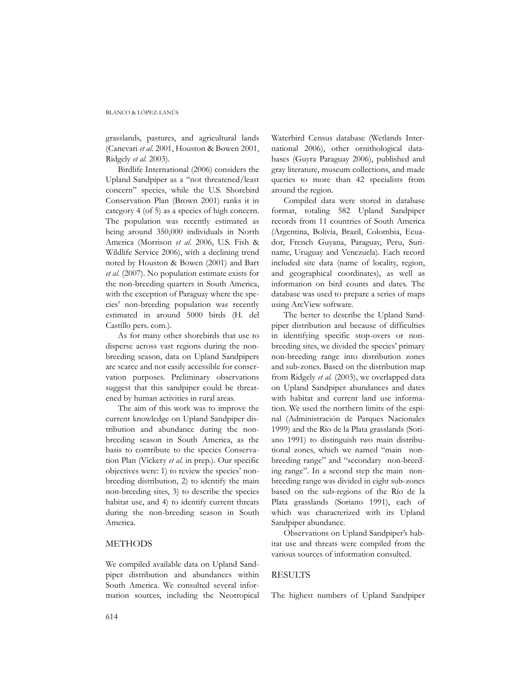#### BLANCO & LÓPEZ-LANÚS

grasslands, pastures, and agricultural lands (Canevari *et al.* 2001, Houston & Bowen 2001, Ridgely *et al.* 2003).

Birdlife International (2006) considers the Upland Sandpiper as a "not threatened/least concern" species, while the U.S. Shorebird Conservation Plan (Brown 2001) ranks it in category 4 (of 5) as a species of high concern. The population was recently estimated as being around 350,000 individuals in North America (Morrison *et al*. 2006, U.S. Fish & Wildlife Service 2006), with a declining trend noted by Houston & Bowen (2001) and Bart *et al.* (2007). No population estimate exists for the non-breeding quarters in South America, with the exception of Paraguay where the species' non-breeding population was recently estimated in around 5000 birds (H. del Castillo pers. com.).

As for many other shorebirds that use to disperse across vast regions during the nonbreeding season, data on Upland Sandpipers are scarce and not easily accessible for conservation purposes. Preliminary observations suggest that this sandpiper could be threatened by human activities in rural areas.

The aim of this work was to improve the current knowledge on Upland Sandpiper distribution and abundance during the nonbreeding season in South America, as the basis to contribute to the species Conservation Plan (Vickery *et al*. in prep.). Our specific objectives were: 1) to review the species' nonbreeding distribution, 2) to identify the main non-breeding sites, 3) to describe the species habitat use, and 4) to identify current threats during the non-breeding season in South America.

# METHODS

We compiled available data on Upland Sandpiper distribution and abundances within South America. We consulted several information sources, including the Neotropical

Waterbird Census database (Wetlands International 2006), other ornithological databases (Guyra Paraguay 2006), published and gray literature, museum collections, and made queries to more than 42 specialists from around the region.

Compiled data were stored in database format, totaling 582 Upland Sandpiper records from 11 countries of South America (Argentina, Bolivia, Brazil, Colombia, Ecuador, French Guyana, Paraguay, Peru, Suriname, Uruguay and Venezuela). Each record included site data (name of locality, region, and geographical coordinates), as well as information on bird counts and dates. The database was used to prepare a series of maps using ArcView software.

The better to describe the Upland Sandpiper distribution and because of difficulties in identifying specific stop-overs or nonbreeding sites, we divided the species' primary non-breeding range into distribution zones and sub-zones. Based on the distribution map from Ridgely *et al.* (2003), we overlapped data on Upland Sandpiper abundances and dates with habitat and current land use information. We used the northern limits of the espinal (Administración de Parques Nacionales 1999) and the Rio de la Plata grasslands (Soriano 1991) to distinguish two main distributional zones, which we named "main nonbreeding range" and "secondary non-breeding range". In a second step the main nonbreeding range was divided in eight sub-zones based on the sub-regions of the Río de la Plata grasslands (Soriano 1991), each of which was characterized with its Upland Sandpiper abundance.

Observations on Upland Sandpiper's habitat use and threats were compiled from the various sources of information consulted.

# RESULTS

The highest numbers of Upland Sandpiper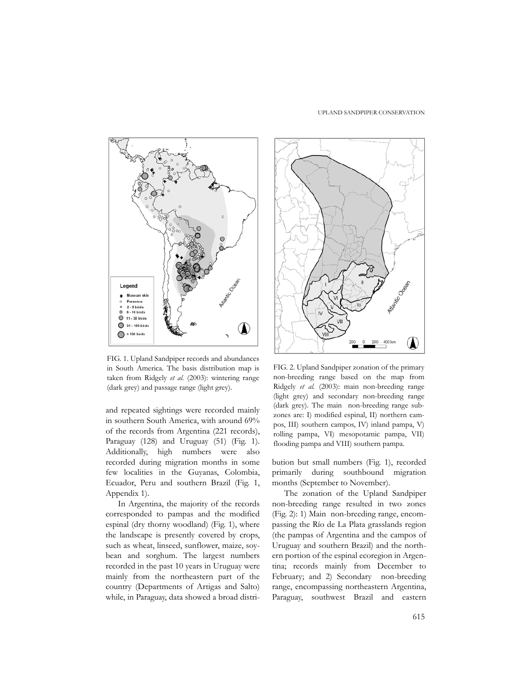#### UPLAND SANDPIPER CONSERVATION



FIG. 1. Upland Sandpiper records and abundances in South America. The basis distribution map is taken from Ridgely *et al.* (2003): wintering range (dark grey) and passage range (light grey).

and repeated sightings were recorded mainly in southern South America, with around 69% of the records from Argentina (221 records), Paraguay (128) and Uruguay (51) (Fig. 1). Additionally, high numbers were also recorded during migration months in some few localities in the Guyanas, Colombia, Ecuador, Peru and southern Brazil (Fig. 1, Appendix 1).

In Argentina, the majority of the records corresponded to pampas and the modified espinal (dry thorny woodland) (Fig. 1), where the landscape is presently covered by crops, such as wheat, linseed, sunflower, maize, soybean and sorghum. The largest numbers recorded in the past 10 years in Uruguay were mainly from the northeastern part of the country (Departments of Artigas and Salto) while, in Paraguay, data showed a broad distri-



FIG. 2. Upland Sandpiper zonation of the primary non-breeding range based on the map from Ridgely *et al.* (2003): main non-breeding range (light grey) and secondary non-breeding range (dark grey). The main non-breeding range subzones are: I) modified espinal, II) northern campos, III) southern campos, IV) inland pampa, V) rolling pampa, VI) mesopotamic pampa, VII) flooding pampa and VIII) southern pampa.

bution but small numbers (Fig. 1), recorded primarily during southbound migration months (September to November).

The zonation of the Upland Sandpiper non-breeding range resulted in two zones (Fig. 2): 1) Main non-breeding range, encompassing the Río de La Plata grasslands region (the pampas of Argentina and the campos of Uruguay and southern Brazil) and the northern portion of the espinal ecoregion in Argentina; records mainly from December to February; and 2) Secondary non-breeding range, encompassing northeastern Argentina, Paraguay, southwest Brazil and eastern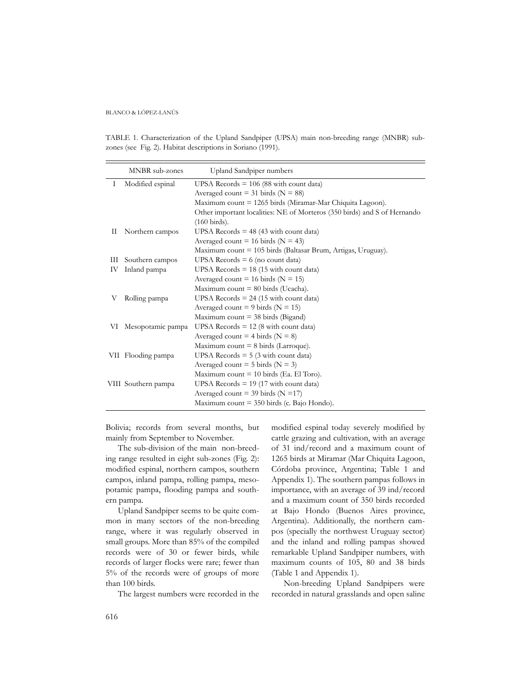#### BLANCO & LÓPEZ-LANÚS

TABLE 1. Characterization of the Upland Sandpiper (UPSA) main non-breeding range (MNBR) subzones (see Fig. 2). Habitat descriptions in Soriano (1991).

|    | MNBR sub-zones       | Upland Sandpiper numbers                                                 |
|----|----------------------|--------------------------------------------------------------------------|
| Ι  | Modified espinal     | UPSA Records $= 106$ (88 with count data)                                |
|    |                      | Averaged count = 31 birds ( $N = 88$ )                                   |
|    |                      | Maximum count = 1265 birds (Miramar-Mar Chiquita Lagoon).                |
|    |                      | Other important localities: NE of Morteros (350 birds) and S of Hernando |
|    |                      | $(160 \text{ birds}).$                                                   |
| П  | Northern campos      | UPSA Records $=$ 48 (43 with count data)                                 |
|    |                      | Averaged count = 16 birds ( $N = 43$ )                                   |
|    |                      | Maximum count = 105 birds (Baltasar Brum, Artigas, Uruguay).             |
| Ш  | Southern campos      | UPSA Records $= 6$ (no count data)                                       |
| IV | Inland pampa         | UPSA Records $= 18$ (15 with count data)                                 |
|    |                      | Averaged count = 16 birds ( $N = 15$ )                                   |
|    |                      | Maximum count $= 80$ birds (Ucacha).                                     |
| V  | Rolling pampa        | UPSA Records $= 24$ (15 with count data)                                 |
|    |                      | Averaged count = 9 birds ( $N = 15$ )                                    |
|    |                      | Maximum count $=$ 38 birds (Bigand)                                      |
|    | VI Mesopotamic pampa | UPSA Records $= 12$ (8 with count data)                                  |
|    |                      | Averaged count = 4 birds ( $N = 8$ )                                     |
|    |                      | Maximum count $= 8$ birds (Larroque).                                    |
|    | VII Flooding pampa   | UPSA Records $= 5$ (3 with count data)                                   |
|    |                      | Averaged count = $5 \text{ birds } (N = 3)$                              |
|    |                      | Maximum count $= 10$ birds (Ea. El Toro).                                |
|    | VIII Southern pampa  | UPSA Records $= 19$ (17 with count data)                                 |
|    |                      | Averaged count = 39 birds ( $N = 17$ )                                   |
|    |                      | Maximum count $=$ 350 birds (c. Bajo Hondo).                             |

Bolivia; records from several months, but mainly from September to November.

The sub-division of the main non-breeding range resulted in eight sub-zones (Fig. 2): modified espinal, northern campos, southern campos, inland pampa, rolling pampa, mesopotamic pampa, flooding pampa and southern pampa.

Upland Sandpiper seems to be quite common in many sectors of the non-breeding range, where it was regularly observed in small groups. More than 85% of the compiled records were of 30 or fewer birds, while records of larger flocks were rare; fewer than 5% of the records were of groups of more than 100 birds.

The largest numbers were recorded in the

modified espinal today severely modified by cattle grazing and cultivation, with an average of 31 ind/record and a maximum count of 1265 birds at Miramar (Mar Chiquita Lagoon, Córdoba province, Argentina; Table 1 and Appendix 1). The southern pampas follows in importance, with an average of 39 ind/record and a maximum count of 350 birds recorded at Bajo Hondo (Buenos Aires province, Argentina). Additionally, the northern campos (specially the northwest Uruguay sector) and the inland and rolling pampas showed remarkable Upland Sandpiper numbers, with maximum counts of 105, 80 and 38 birds (Table 1 and Appendix 1).

Non-breeding Upland Sandpipers were recorded in natural grasslands and open saline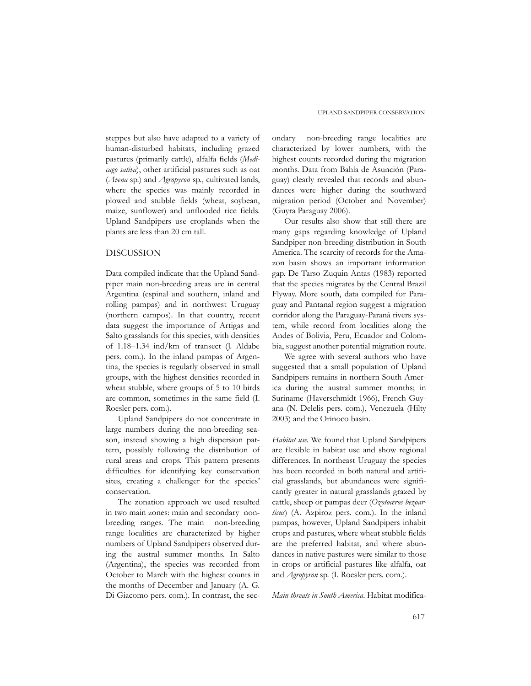steppes but also have adapted to a variety of human-disturbed habitats, including grazed pastures (primarily cattle), alfalfa fields (*Medicago sativa*), other artificial pastures such as oat (*Avena* sp.) and *Agropyron* sp., cultivated lands, where the species was mainly recorded in plowed and stubble fields (wheat, soybean, maize, sunflower) and unflooded rice fields. Upland Sandpipers use croplands when the plants are less than 20 cm tall.

### DISCUSSION

Data compiled indicate that the Upland Sandpiper main non-breeding areas are in central Argentina (espinal and southern, inland and rolling pampas) and in northwest Uruguay (northern campos). In that country, recent data suggest the importance of Artigas and Salto grasslands for this species, with densities of 1.18–1.34 ind/km of transect (J. Aldabe pers. com.). In the inland pampas of Argentina, the species is regularly observed in small groups, with the highest densities recorded in wheat stubble, where groups of 5 to 10 birds are common, sometimes in the same field (I. Roesler pers. com.).

Upland Sandpipers do not concentrate in large numbers during the non-breeding season, instead showing a high dispersion pattern, possibly following the distribution of rural areas and crops. This pattern presents difficulties for identifying key conservation sites, creating a challenger for the species' conservation.

The zonation approach we used resulted in two main zones: main and secondary nonbreeding ranges. The main non-breeding range localities are characterized by higher numbers of Upland Sandpipers observed during the austral summer months. In Salto (Argentina), the species was recorded from October to March with the highest counts in the months of December and January (A. G. Di Giacomo pers. com.). In contrast, the sec-

ondary non-breeding range localities are characterized by lower numbers, with the highest counts recorded during the migration months. Data from Bahía de Asunción (Paraguay) clearly revealed that records and abundances were higher during the southward migration period (October and November) (Guyra Paraguay 2006).

Our results also show that still there are many gaps regarding knowledge of Upland Sandpiper non-breeding distribution in South America. The scarcity of records for the Amazon basin shows an important information gap. De Tarso Zuquin Antas (1983) reported that the species migrates by the Central Brazil Flyway. More south, data compiled for Paraguay and Pantanal region suggest a migration corridor along the Paraguay-Paraná rivers system, while record from localities along the Andes of Bolivia, Peru, Ecuador and Colombia, suggest another potential migration route.

We agree with several authors who have suggested that a small population of Upland Sandpipers remains in northern South America during the austral summer months; in Suriname (Haverschmidt 1966), French Guyana (N. Delelis pers. com.), Venezuela (Hilty 2003) and the Orinoco basin.

*Habitat use.* We found that Upland Sandpipers are flexible in habitat use and show regional differences. In northeast Uruguay the species has been recorded in both natural and artificial grasslands, but abundances were significantly greater in natural grasslands grazed by cattle, sheep or pampas deer (*Ozotoceros bezoarticus*) (A. Azpiroz pers. com.). In the inland pampas, however, Upland Sandpipers inhabit crops and pastures, where wheat stubble fields are the preferred habitat, and where abundances in native pastures were similar to those in crops or artificial pastures like alfalfa, oat and *Agropyron* sp. (I. Roesler pers. com.).

*Main threats in South America*. Habitat modifica-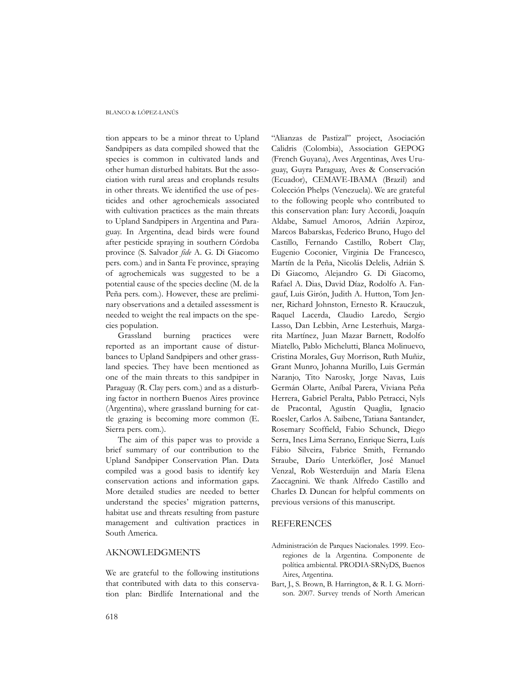#### BLANCO & LÓPEZ-LANÚS

tion appears to be a minor threat to Upland Sandpipers as data compiled showed that the species is common in cultivated lands and other human disturbed habitats. But the association with rural areas and croplands results in other threats. We identified the use of pesticides and other agrochemicals associated with cultivation practices as the main threats to Upland Sandpipers in Argentina and Paraguay. In Argentina, dead birds were found after pesticide spraying in southern Córdoba province (S. Salvador *fide* A. G. Di Giacomo pers. com.) and in Santa Fe province, spraying of agrochemicals was suggested to be a potential cause of the species decline (M. de la Peña pers. com.). However, these are preliminary observations and a detailed assessment is needed to weight the real impacts on the species population.

Grassland burning practices were reported as an important cause of disturbances to Upland Sandpipers and other grassland species. They have been mentioned as one of the main threats to this sandpiper in Paraguay (R. Clay pers. com.) and as a disturbing factor in northern Buenos Aires province (Argentina), where grassland burning for cattle grazing is becoming more common (E. Sierra pers. com.).

The aim of this paper was to provide a brief summary of our contribution to the Upland Sandpiper Conservation Plan. Data compiled was a good basis to identify key conservation actions and information gaps. More detailed studies are needed to better understand the species' migration patterns, habitat use and threats resulting from pasture management and cultivation practices in South America.

# AKNOWLEDGMENTS

We are grateful to the following institutions that contributed with data to this conservation plan: Birdlife International and the "Alianzas de Pastizal" project, Asociación Calidris (Colombia), Association GEPOG (French Guyana), Aves Argentinas, Aves Uruguay, Guyra Paraguay, Aves & Conservación (Ecuador), CEMAVE-IBAMA (Brazil) and Colección Phelps (Venezuela). We are grateful to the following people who contributed to this conservation plan: Iury Accordi, Joaquín Aldabe, Samuel Amoros, Adrián Azpiroz, Marcos Babarskas, Federico Bruno, Hugo del Castillo, Fernando Castillo, Robert Clay, Eugenio Coconier, Virginia De Francesco, Martín de la Peña, Nicolás Delelis, Adrián S. Di Giacomo, Alejandro G. Di Giacomo, Rafael A. Dias, David Díaz, Rodolfo A. Fangauf, Luis Girón, Judith A. Hutton, Tom Jenner, Richard Johnston, Ernesto R. Krauczuk, Raquel Lacerda, Claudio Laredo, Sergio Lasso, Dan Lebbin, Arne Lesterhuis, Margarita Martínez, Juan Mazar Barnett, Rodolfo Miatello, Pablo Michelutti, Blanca Molinuevo, Cristina Morales, Guy Morrison, Ruth Muñiz, Grant Munro, Johanna Murillo, Luis Germán Naranjo, Tito Narosky, Jorge Navas, Luis Germán Olarte, Aníbal Parera, Viviana Peña Herrera, Gabriel Peralta, Pablo Petracci, Nyls de Pracontal, Agustín Quaglia, Ignacio Roesler, Carlos A. Saibene, Tatiana Santander, Rosemary Scoffield, Fabio Schunck, Diego Serra, Ines Lima Serrano, Enrique Sierra, Luís Fábio Silveira, Fabrice Smith, Fernando Straube, Darío Unterköfler, José Manuel Venzal, Rob Westerduijn and María Elena Zaccagnini. We thank Alfredo Castillo and Charles D. Duncan for helpful comments on previous versions of this manuscript.

### **REFERENCES**

- Administración de Parques Nacionales. 1999. Ecoregiones de la Argentina. Componente de política ambiental. PRODIA-SRNyDS, Buenos Aires, Argentina.
- Bart, J., S. Brown, B. Harrington, & R. I. G. Morrison. 2007. Survey trends of North American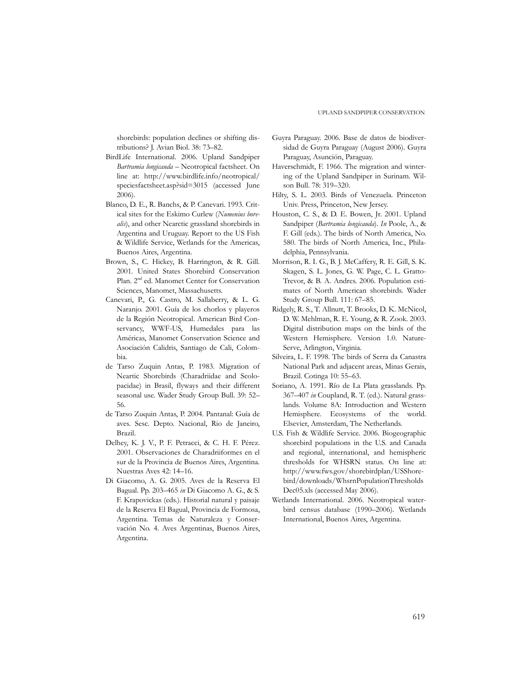shorebirds: population declines or shifting distributions? J. Avian Biol. 38: 73–82.

- BirdLife International. 2006. Upland Sandpiper *Bartramia longicauda* – Neotropical factsheet. On line at: http://www.birdlife.info/neotropical/ speciesfactsheet.asp?sid=3015 (accessed June 2006).
- Blanco, D. E., R. Banchs, & P. Canevari. 1993. Critical sites for the Eskimo Curlew (*Numenius borealis*), and other Nearctic grassland shorebirds in Argentina and Uruguay. Report to the US Fish & Wildlife Service, Wetlands for the Americas, Buenos Aires, Argentina.
- Brown, S., C. Hickey, B. Harrington, & R. Gill. 2001. United States Shorebird Conservation Plan. 2<sup>nd</sup> ed. Manomet Center for Conservation Sciences, Manomet, Massachusetts.
- Canevari, P., G. Castro, M. Sallaberry, & L. G. Naranjo. 2001. Guía de los chorlos y playeros de la Región Neotropical. American Bird Conservancy, WWF-US, Humedales para las Américas, Manomet Conservation Science and Asociación Calidris, Santiago de Cali, Colombia.
- de Tarso Zuquin Antas, P. 1983. Migration of Neartic Shorebirds (Charadriidae and Scolopacidae) in Brasil, flyways and their different seasonal use. Wader Study Group Bull. 39: 52– 56.
- de Tarso Zuquin Antas, P. 2004. Pantanal: Guía de aves. Sesc. Depto. Nacional, Rio de Janeiro, Brazil.
- Delhey, K. J. V., P. F. Petracci, & C. H. F. Pérez. 2001. Observaciones de Charadriiformes en el sur de la Provincia de Buenos Aires, Argentina. Nuestras Aves 42: 14–16.
- Di Giacomo, A. G. 2005. Aves de la Reserva El Bagual. Pp. 203–465 *in* Di Giacomo A. G., & S. F. Krapovickas (eds.). Historial natural y paisaje de la Reserva El Bagual, Provincia de Formosa, Argentina. Temas de Naturaleza y Conservación No. 4. Aves Argentinas, Buenos Aires, Argentina.
- Guyra Paraguay. 2006. Base de datos de biodiversidad de Guyra Paraguay (August 2006). Guyra Paraguay, Asunción, Paraguay.
- Haverschmidt, F. 1966. The migration and wintering of the Upland Sandpiper in Surinam. Wilson Bull. 78: 319–320.
- Hilty, S. L. 2003. Birds of Venezuela. Princeton Univ. Press, Princeton, New Jersey.
- Houston, C. S., & D. E. Bowen, Jr. 2001. Upland Sandpiper (*Bartramia longicauda*). *In* Poole, A., & F. Gill (eds.). The birds of North America, No. 580. The birds of North America, Inc., Philadelphia, Pennsylvania.
- Morrison, R. I. G., B. J. McCaffery, R. E. Gill, S. K. Skagen, S. L. Jones, G. W. Page, C. L. Gratto-Trevor, & B. A. Andres. 2006. Population estimates of North American shorebirds. Wader Study Group Bull. 111: 67–85.
- Ridgely, R. S., T. Allnutt, T. Brooks, D. K. McNicol, D. W. Mehlman, R. E. Young, & R. Zook. 2003. Digital distribution maps on the birds of the Western Hemisphere. Version 1.0. Nature-Serve, Arlington, Virginia.
- Silveira, L. F. 1998. The birds of Serra da Canastra National Park and adjacent areas, Minas Gerais, Brazil. Cotinga 10: 55–63.
- Soriano, A. 1991. Río de La Plata grasslands. Pp. 367–407 *in* Coupland, R. T. (ed.). Natural grasslands. Volume 8A: Introduction and Western Hemisphere. Ecosystems of the world. Elsevier, Amsterdam, The Netherlands.
- U.S. Fish & Wildlife Service. 2006. Biogeographic shorebird populations in the U.S. and Canada and regional, international, and hemispheric thresholds for WHSRN status. On line at: http://www.fws.gov/shorebirdplan/USShorebird/downloads/WhsrnPopulationThresholds Dec05.xls (accessed May 2006).
- Wetlands International. 2006. Neotropical waterbird census database (1990–2006). Wetlands International, Buenos Aires, Argentina.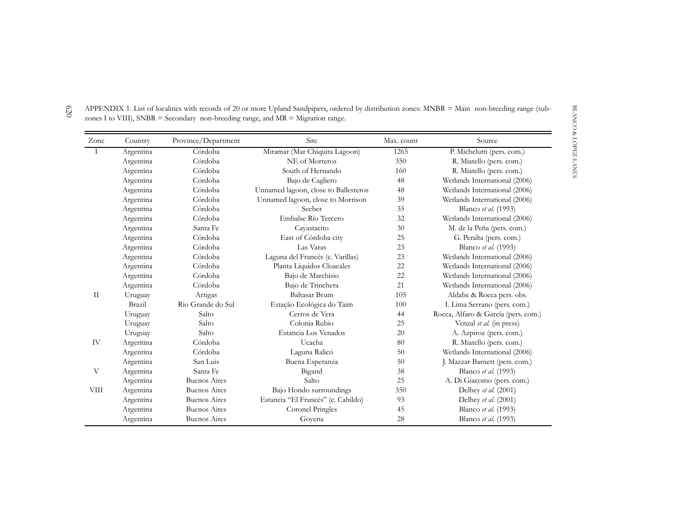| Zone        | Country   | Province/Department | <b>Site</b>                          | Max. count | Source                              |
|-------------|-----------|---------------------|--------------------------------------|------------|-------------------------------------|
| $\bf{I}$    | Argentina | Córdoba             | Miramar (Mar Chiquita Lagoon)        | 1265       | P. Michelutti (pers. com.)          |
|             | Argentina | Córdoba             | NE of Morteros                       | 350        | R. Miatello (pers. com.)            |
|             | Argentina | Córdoba             | South of Hernando                    | 160        | R. Miatello (pers. com.)            |
|             | Argentina | Córdoba             | Bajo de Cagliero                     | 48         | Wetlands International (2006)       |
|             | Argentina | Córdoba             | Unnamed lagoon, close to Ballesteros | 48         | Wetlands International (2006)       |
|             | Argentina | Córdoba             | Unnamed lagoon, close to Morrison    | 39         | Wetlands International (2006)       |
|             | Argentina | Córdoba             | Seeber                               | 35         | Blanco et al. (1993)                |
|             | Argentina | Córdoba             | Embalse Río Tercero                  | 32         | Wetlands International (2006)       |
|             | Argentina | Santa Fe            | Cayastacito                          | 30         | M. de la Peña (pers. com.)          |
|             | Argentina | Córdoba             | East of Córdoba city                 | 25         | G. Peralta (pers. com.)             |
|             | Argentina | Córdoba             | Las Varas                            | 23         | Blanco et al. (1993)                |
|             | Argentina | Córdoba             | Laguna del Francés (c. Varillas)     | 23         | Wetlands International (2006)       |
|             | Argentina | Córdoba             | Planta Líquidos Cloacales            | 22         | Wetlands International (2006)       |
|             | Argentina | Córdoba             | Bajo de Marchisio                    | 22         | Wetlands International (2006)       |
|             | Argentina | Córdoba             | Bajo de Trinchera                    | 21         | Wetlands International (2006)       |
| П           | Uruguay   | Artigas             | <b>Baltasar Brum</b>                 | 105        | Aldabe & Rocca pers. obs.           |
|             | Brazil    | Rio Grande do Sul   | Estação Ecológica do Taim            | 100        | I. Lima Serrano (pers. com.)        |
|             | Uruguay   | Salto               | Cerros de Vera                       | 44         | Rocca, Alfaro & García (pers. com.) |
|             | Uruguay   | Salto               | Colonia Rubio                        | 25         | Venzal et al. (in press)            |
|             | Uruguay   | Salto               | Estancia Los Venados                 | 20         | A. Azpiroz (pers. com.)             |
| IV          | Argentina | Córdoba             | Ucacha                               | 80         | R. Miatello (pers. com.)            |
|             | Argentina | Córdoba             | Laguna Ralicó                        | 50         | Wetlands International (2006)       |
|             | Argentina | San Luis            | Buena Esperanza                      | 50         | J. Mazzar Barnett (pers. com.)      |
| V           | Argentina | Santa Fe            | Bigand                               | 38         | Blanco et al. (1993)                |
|             | Argentina | <b>Buenos Aires</b> | Salto                                | 25         | A. Di Giacomo (pers. com.)          |
| <b>VIII</b> | Argentina | <b>Buenos Aires</b> | Bajo Hondo surroundings              | 350        | Delhey et al. (2001)                |
|             | Argentina | <b>Buenos Aires</b> | Estancia "El Francés" (c. Cabildo)   | 93         | Delhey et al. (2001)                |
|             | Argentina | <b>Buenos Aires</b> | Coronel Pringles                     | 45         | Blanco et al. (1993)                |
|             | Argentina | <b>Buenos Aires</b> | Goyena                               | 28         | Blanco et al. (1993)                |

APPENDIX 1. List of localities with records of 20 or more Upland Sandpipers, ordered by distribution zones: MNBR = Main non-breeding range (subzones I to VIII), SNBR = Secondary non-breeding range, and MR = Migration range.